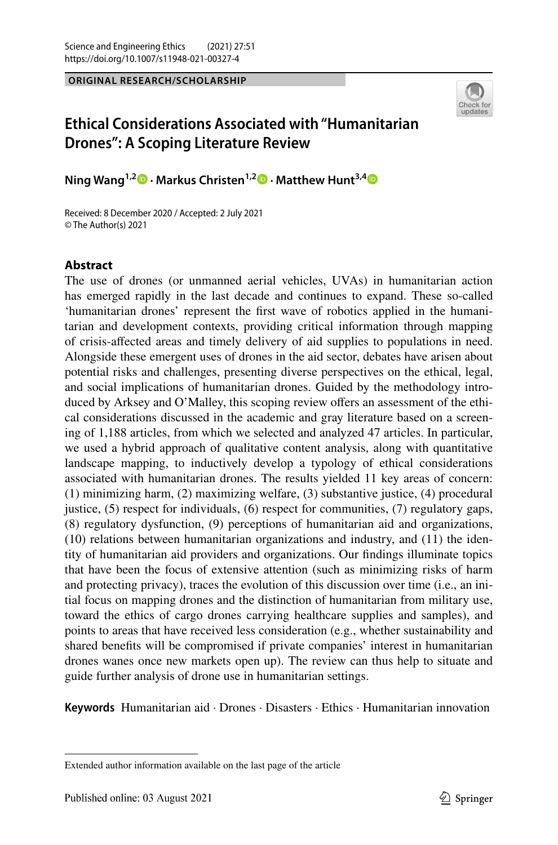**ORIGINAL RESEARCH/SCHOLARSHIP**



# **Ethical Considerations Associated with "Humanitarian Drones": A Scoping Literature Review**

**Ning Wang1,2 · Markus Christen1,2  [·](http://orcid.org/0000-0001-8378-9366) Matthew Hunt3,[4](http://orcid.org/0000-0003-4190-0163)**

Received: 8 December 2020 / Accepted: 2 July 2021 © The Author(s) 2021

## **Abstract**

The use of drones (or unmanned aerial vehicles, UVAs) in humanitarian action has emerged rapidly in the last decade and continues to expand. These so-called 'humanitarian drones' represent the frst wave of robotics applied in the humanitarian and development contexts, providing critical information through mapping of crisis-afected areas and timely delivery of aid supplies to populations in need. Alongside these emergent uses of drones in the aid sector, debates have arisen about potential risks and challenges, presenting diverse perspectives on the ethical, legal, and social implications of humanitarian drones. Guided by the methodology introduced by Arksey and O'Malley, this scoping review offers an assessment of the ethical considerations discussed in the academic and gray literature based on a screening of 1,188 articles, from which we selected and analyzed 47 articles. In particular, we used a hybrid approach of qualitative content analysis, along with quantitative landscape mapping, to inductively develop a typology of ethical considerations associated with humanitarian drones. The results yielded 11 key areas of concern: (1) minimizing harm, (2) maximizing welfare, (3) substantive justice, (4) procedural justice, (5) respect for individuals, (6) respect for communities, (7) regulatory gaps, (8) regulatory dysfunction, (9) perceptions of humanitarian aid and organizations, (10) relations between humanitarian organizations and industry, and (11) the identity of humanitarian aid providers and organizations. Our fndings illuminate topics that have been the focus of extensive attention (such as minimizing risks of harm and protecting privacy), traces the evolution of this discussion over time (i.e., an initial focus on mapping drones and the distinction of humanitarian from military use, toward the ethics of cargo drones carrying healthcare supplies and samples), and points to areas that have received less consideration (e.g., whether sustainability and shared benefts will be compromised if private companies' interest in humanitarian drones wanes once new markets open up). The review can thus help to situate and guide further analysis of drone use in humanitarian settings.

**Keywords** Humanitarian aid · Drones · Disasters · Ethics · Humanitarian innovation

Extended author information available on the last page of the article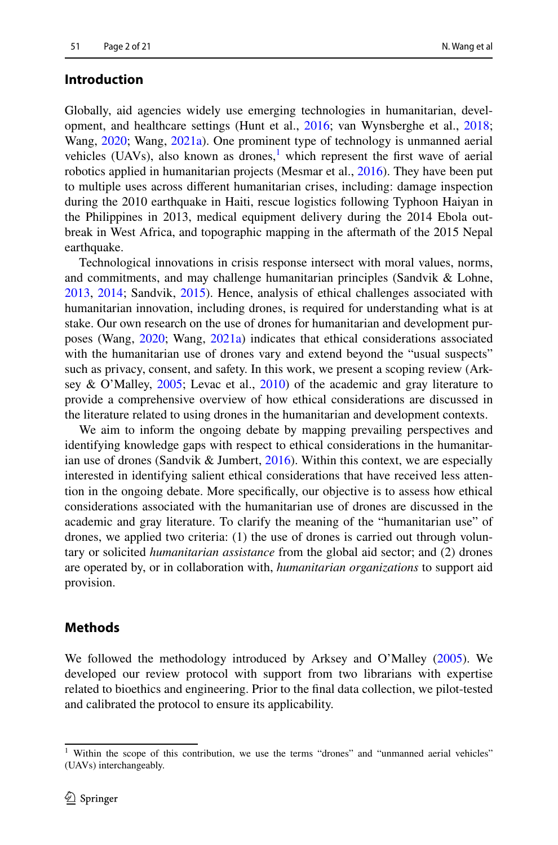### **Introduction**

Globally, aid agencies widely use emerging technologies in humanitarian, development, and healthcare settings (Hunt et al., [2016;](#page-18-0) van Wynsberghe et al., [2018;](#page-20-0) Wang, [2020;](#page-20-1) Wang, [2021a](#page-20-2)). One prominent type of technology is unmanned aerial vehicles (UAVs), also known as drones, $\frac{1}{1}$  which represent the first wave of aerial robotics applied in humanitarian projects (Mesmar et al., [2016\)](#page-19-0). They have been put to multiple uses across diferent humanitarian crises, including: damage inspection during the 2010 earthquake in Haiti, rescue logistics following Typhoon Haiyan in the Philippines in 2013, medical equipment delivery during the 2014 Ebola outbreak in West Africa, and topographic mapping in the aftermath of the 2015 Nepal earthquake.

Technological innovations in crisis response intersect with moral values, norms, and commitments, and may challenge humanitarian principles (Sandvik & Lohne, [2013](#page-19-1), [2014](#page-19-2); Sandvik, [2015](#page-19-3)). Hence, analysis of ethical challenges associated with humanitarian innovation, including drones, is required for understanding what is at stake. Our own research on the use of drones for humanitarian and development purposes (Wang, [2020;](#page-20-1) Wang, [2021a](#page-20-2)) indicates that ethical considerations associated with the humanitarian use of drones vary and extend beyond the "usual suspects" such as privacy, consent, and safety. In this work, we present a scoping review (Arksey & O'Malley, [2005;](#page-17-0) Levac et al., [2010\)](#page-18-1) of the academic and gray literature to provide a comprehensive overview of how ethical considerations are discussed in the literature related to using drones in the humanitarian and development contexts.

We aim to inform the ongoing debate by mapping prevailing perspectives and identifying knowledge gaps with respect to ethical considerations in the humanitarian use of drones (Sandvik & Jumbert, [2016\)](#page-19-4). Within this context, we are especially interested in identifying salient ethical considerations that have received less attention in the ongoing debate. More specifcally, our objective is to assess how ethical considerations associated with the humanitarian use of drones are discussed in the academic and gray literature. To clarify the meaning of the "humanitarian use" of drones, we applied two criteria: (1) the use of drones is carried out through voluntary or solicited *humanitarian assistance* from the global aid sector; and (2) drones are operated by, or in collaboration with, *humanitarian organizations* to support aid provision.

### **Methods**

We followed the methodology introduced by Arksey and O'Malley [\(2005](#page-17-0)). We developed our review protocol with support from two librarians with expertise related to bioethics and engineering. Prior to the fnal data collection, we pilot-tested and calibrated the protocol to ensure its applicability.

<span id="page-1-0"></span><sup>&</sup>lt;sup>1</sup> Within the scope of this contribution, we use the terms "drones" and "unmanned aerial vehicles" (UAVs) interchangeably.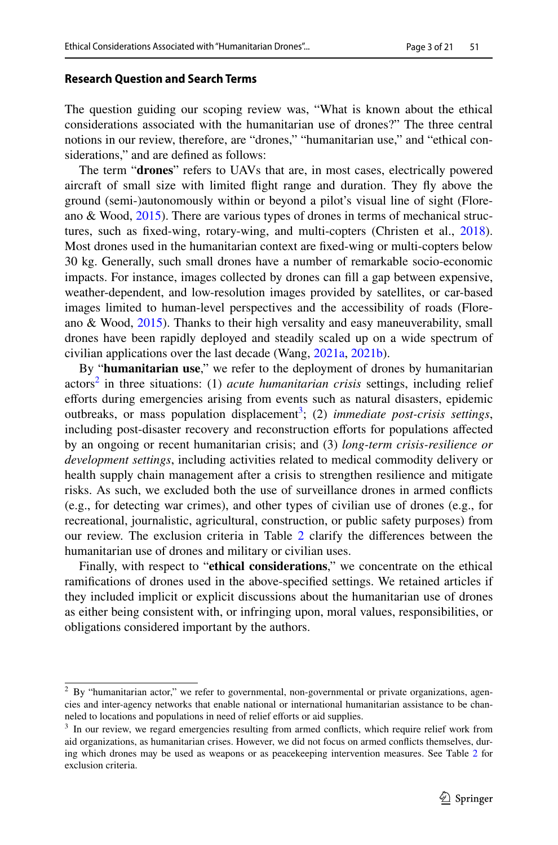#### **Research Question and Search Terms**

The question guiding our scoping review was, "What is known about the ethical considerations associated with the humanitarian use of drones?" The three central notions in our review, therefore, are "drones," "humanitarian use," and "ethical considerations," and are defned as follows:

The term "**drones**" refers to UAVs that are, in most cases, electrically powered aircraft of small size with limited fight range and duration. They fy above the ground (semi-)autonomously within or beyond a pilot's visual line of sight (Floreano & Wood, [2015](#page-18-2)). There are various types of drones in terms of mechanical structures, such as fxed-wing, rotary-wing, and multi-copters (Christen et al., [2018\)](#page-18-3). Most drones used in the humanitarian context are fxed-wing or multi-copters below 30 kg. Generally, such small drones have a number of remarkable socio-economic impacts. For instance, images collected by drones can fll a gap between expensive, weather-dependent, and low-resolution images provided by satellites, or car-based images limited to human-level perspectives and the accessibility of roads (Floreano & Wood, [2015](#page-18-2)). Thanks to their high versality and easy maneuverability, small drones have been rapidly deployed and steadily scaled up on a wide spectrum of civilian applications over the last decade (Wang, [2021a,](#page-20-2) [2021b\)](#page-20-3).

By "**humanitarian use**," we refer to the deployment of drones by humanitarian actors<sup>[2](#page-2-0)</sup> in three situations: (1) *acute humanitarian crisis* settings, including relief eforts during emergencies arising from events such as natural disasters, epidemic outbreaks, or mass population displacement<sup>3</sup>; (2) *immediate post-crisis settings*, including post-disaster recovery and reconstruction eforts for populations afected by an ongoing or recent humanitarian crisis; and (3) *long-term crisis-resilience or development settings*, including activities related to medical commodity delivery or health supply chain management after a crisis to strengthen resilience and mitigate risks. As such, we excluded both the use of surveillance drones in armed conficts (e.g., for detecting war crimes), and other types of civilian use of drones (e.g., for recreational, journalistic, agricultural, construction, or public safety purposes) from our review. The exclusion criteria in Table [2](#page-3-0) clarify the diferences between the humanitarian use of drones and military or civilian uses.

Finally, with respect to "**ethical considerations**," we concentrate on the ethical ramifcations of drones used in the above-specifed settings. We retained articles if they included implicit or explicit discussions about the humanitarian use of drones as either being consistent with, or infringing upon, moral values, responsibilities, or obligations considered important by the authors.

<span id="page-2-0"></span> $2$  By "humanitarian actor," we refer to governmental, non-governmental or private organizations, agencies and inter-agency networks that enable national or international humanitarian assistance to be channeled to locations and populations in need of relief efforts or aid supplies.

<span id="page-2-1"></span><sup>&</sup>lt;sup>3</sup> In our review, we regard emergencies resulting from armed conflicts, which require relief work from aid organizations, as humanitarian crises. However, we did not focus on armed conficts themselves, during which drones may be used as weapons or as peacekeeping intervention measures. See Table [2](#page-3-0) for exclusion criteria.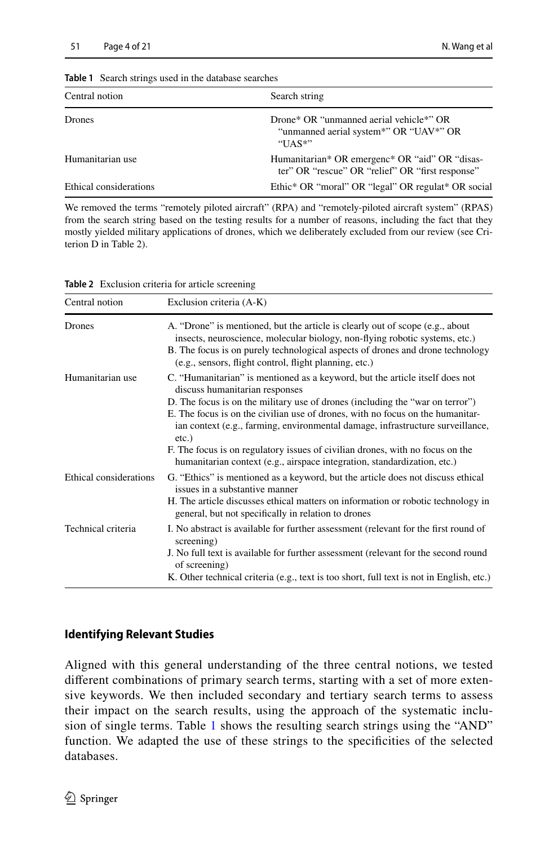| Central notion         | Search string                                                                                      |
|------------------------|----------------------------------------------------------------------------------------------------|
| Drones                 | Drone* OR "unmanned aerial vehicle*" OR<br>"unmanned aerial system*" OR "UAV*" OR<br>" $IIAS$ *"   |
| Humanitarian use       | Humanitarian* OR emergenc* OR "aid" OR "disas-<br>ter" OR "rescue" OR "relief" OR "first response" |
| Ethical considerations | Ethic* OR "moral" OR "legal" OR regulat* OR social                                                 |

<span id="page-3-1"></span>

| <b>Table 1</b> Search strings used in the database searches |
|-------------------------------------------------------------|
|                                                             |

We removed the terms "remotely piloted aircraft" (RPA) and "remotely-piloted aircraft system" (RPAS) from the search string based on the testing results for a number of reasons, including the fact that they mostly yielded military applications of drones, which we deliberately excluded from our review (see Criterion D in Table 2).

<span id="page-3-0"></span>

| Table 2 Exclusion criteria for article screening |  |
|--------------------------------------------------|--|
|--------------------------------------------------|--|

| Central notion         | Exclusion criteria (A-K)<br>A. "Drone" is mentioned, but the article is clearly out of scope (e.g., about<br>insects, neuroscience, molecular biology, non-flying robotic systems, etc.)<br>B. The focus is on purely technological aspects of drones and drone technology<br>(e.g., sensors, flight control, flight planning, etc.)                                                                                                                                                                                                         |  |
|------------------------|----------------------------------------------------------------------------------------------------------------------------------------------------------------------------------------------------------------------------------------------------------------------------------------------------------------------------------------------------------------------------------------------------------------------------------------------------------------------------------------------------------------------------------------------|--|
| Drones                 |                                                                                                                                                                                                                                                                                                                                                                                                                                                                                                                                              |  |
| Humanitarian use       | C. "Humanitarian" is mentioned as a keyword, but the article itself does not<br>discuss humanitarian responses<br>D. The focus is on the military use of drones (including the "war on terror")<br>E. The focus is on the civilian use of drones, with no focus on the humanitar-<br>ian context (e.g., farming, environmental damage, infrastructure surveillance,<br>$etc.$ )<br>F. The focus is on regulatory issues of civilian drones, with no focus on the<br>humanitarian context (e.g., airspace integration, standardization, etc.) |  |
| Ethical considerations | G. "Ethics" is mentioned as a keyword, but the article does not discuss ethical<br>issues in a substantive manner<br>H. The article discusses ethical matters on information or robotic technology in<br>general, but not specifically in relation to drones                                                                                                                                                                                                                                                                                 |  |
| Technical criteria     | I. No abstract is available for further assessment (relevant for the first round of<br>screening)<br>J. No full text is available for further assessment (relevant for the second round<br>of screening)<br>K. Other technical criteria (e.g., text is too short, full text is not in English, etc.)                                                                                                                                                                                                                                         |  |

#### **Identifying Relevant Studies**

Aligned with this general understanding of the three central notions, we tested diferent combinations of primary search terms, starting with a set of more extensive keywords. We then included secondary and tertiary search terms to assess their impact on the search results, using the approach of the systematic inclusion of single terms. Table [1](#page-3-1) shows the resulting search strings using the "AND" function. We adapted the use of these strings to the specifcities of the selected databases.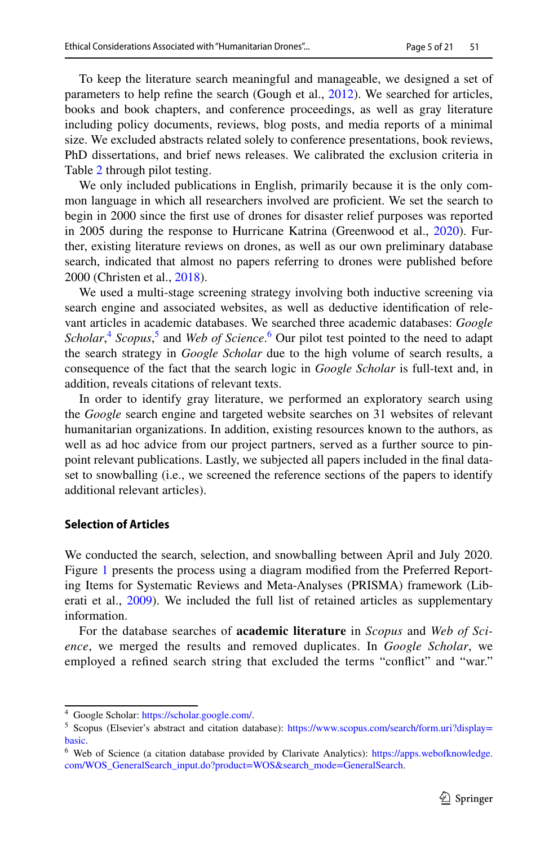To keep the literature search meaningful and manageable, we designed a set of parameters to help refne the search (Gough et al., [2012\)](#page-18-4). We searched for articles, books and book chapters, and conference proceedings, as well as gray literature including policy documents, reviews, blog posts, and media reports of a minimal size. We excluded abstracts related solely to conference presentations, book reviews, PhD dissertations, and brief news releases. We calibrated the exclusion criteria in Table [2](#page-3-0) through pilot testing.

We only included publications in English, primarily because it is the only common language in which all researchers involved are profcient. We set the search to begin in 2000 since the frst use of drones for disaster relief purposes was reported in 2005 during the response to Hurricane Katrina (Greenwood et al., [2020\)](#page-18-5). Further, existing literature reviews on drones, as well as our own preliminary database search, indicated that almost no papers referring to drones were published before 2000 (Christen et al., [2018\)](#page-18-3).

We used a multi-stage screening strategy involving both inductive screening via search engine and associated websites, as well as deductive identifcation of relevant articles in academic databases. We searched three academic databases: *Google*  Scholar,<sup>[4](#page-4-0)</sup> Scopus,<sup>[5](#page-4-1)</sup> and *Web of Science*.<sup>[6](#page-4-2)</sup> Our pilot test pointed to the need to adapt the search strategy in *Google Scholar* due to the high volume of search results, a consequence of the fact that the search logic in *Google Scholar* is full-text and, in addition, reveals citations of relevant texts.

In order to identify gray literature, we performed an exploratory search using the *Google* search engine and targeted website searches on 31 websites of relevant humanitarian organizations. In addition, existing resources known to the authors, as well as ad hoc advice from our project partners, served as a further source to pinpoint relevant publications. Lastly, we subjected all papers included in the fnal dataset to snowballing (i.e., we screened the reference sections of the papers to identify additional relevant articles).

#### **Selection of Articles**

We conducted the search, selection, and snowballing between April and July 2020. Figure [1](#page-5-0) presents the process using a diagram modifed from the Preferred Reporting Items for Systematic Reviews and Meta-Analyses (PRISMA) framework (Liberati et al., [2009\)](#page-18-6). We included the full list of retained articles as supplementary information.

For the database searches of **academic literature** in *Scopus* and *Web of Science*, we merged the results and removed duplicates. In *Google Scholar*, we employed a refned search string that excluded the terms "confict" and "war."

<span id="page-4-0"></span><sup>4</sup> Google Scholar: <https://scholar.google.com/>.

<span id="page-4-1"></span><sup>5</sup> Scopus (Elsevier's abstract and citation database): [https://www.scopus.com/search/form.uri?display=](https://www.scopus.com/search/form.uri?display=basic) [basic](https://www.scopus.com/search/form.uri?display=basic).

<span id="page-4-2"></span><sup>&</sup>lt;sup>6</sup> Web of Science (a citation database provided by Clarivate Analytics): [https://apps.webofknowledge.](https://apps.webofknowledge.com/WOS_GeneralSearch_input.do?product=WOS&search_mode=GeneralSearch) [com/WOS\\_GeneralSearch\\_input.do?product=WOS&search\\_mode=GeneralSearch.](https://apps.webofknowledge.com/WOS_GeneralSearch_input.do?product=WOS&search_mode=GeneralSearch)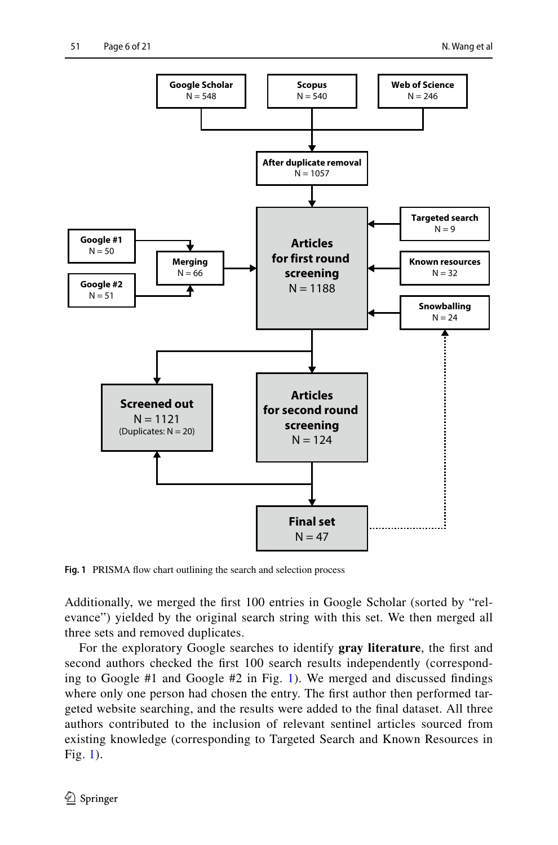

<span id="page-5-0"></span>Fig. 1 PRISMA flow chart outlining the search and selection process

Additionally, we merged the frst 100 entries in Google Scholar (sorted by "relevance") yielded by the original search string with this set. We then merged all three sets and removed duplicates.

For the exploratory Google searches to identify **gray literature**, the frst and second authors checked the frst 100 search results independently (corresponding to Google #1 and Google #2 in Fig. [1\)](#page-5-0). We merged and discussed fndings where only one person had chosen the entry. The first author then performed targeted website searching, and the results were added to the fnal dataset. All three authors contributed to the inclusion of relevant sentinel articles sourced from existing knowledge (corresponding to Targeted Search and Known Resources in Fig. [1](#page-5-0)).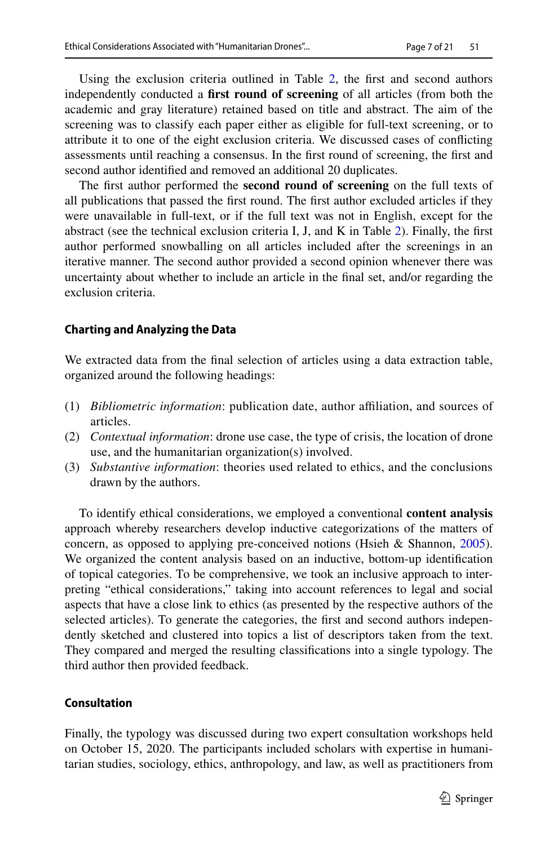Using the exclusion criteria outlined in Table [2](#page-3-0), the frst and second authors independently conducted a **frst round of screening** of all articles (from both the academic and gray literature) retained based on title and abstract. The aim of the screening was to classify each paper either as eligible for full-text screening, or to attribute it to one of the eight exclusion criteria. We discussed cases of conficting assessments until reaching a consensus. In the frst round of screening, the frst and second author identifed and removed an additional 20 duplicates.

The frst author performed the **second round of screening** on the full texts of all publications that passed the frst round. The frst author excluded articles if they were unavailable in full-text, or if the full text was not in English, except for the abstract (see the technical exclusion criteria I, J, and K in Table [2](#page-3-0)). Finally, the frst author performed snowballing on all articles included after the screenings in an iterative manner. The second author provided a second opinion whenever there was uncertainty about whether to include an article in the fnal set, and/or regarding the exclusion criteria.

#### **Charting and Analyzing the Data**

We extracted data from the fnal selection of articles using a data extraction table, organized around the following headings:

- (1) *Bibliometric information*: publication date, author afliation, and sources of articles.
- (2) *Contextual information*: drone use case, the type of crisis, the location of drone use, and the humanitarian organization(s) involved.
- (3) *Substantive information*: theories used related to ethics, and the conclusions drawn by the authors.

To identify ethical considerations, we employed a conventional **content analysis** approach whereby researchers develop inductive categorizations of the matters of concern, as opposed to applying pre-conceived notions (Hsieh & Shannon, [2005\)](#page-18-7). We organized the content analysis based on an inductive, bottom-up identifcation of topical categories. To be comprehensive, we took an inclusive approach to interpreting "ethical considerations," taking into account references to legal and social aspects that have a close link to ethics (as presented by the respective authors of the selected articles). To generate the categories, the frst and second authors independently sketched and clustered into topics a list of descriptors taken from the text. They compared and merged the resulting classifcations into a single typology. The third author then provided feedback.

#### **Consultation**

Finally, the typology was discussed during two expert consultation workshops held on October 15, 2020. The participants included scholars with expertise in humanitarian studies, sociology, ethics, anthropology, and law, as well as practitioners from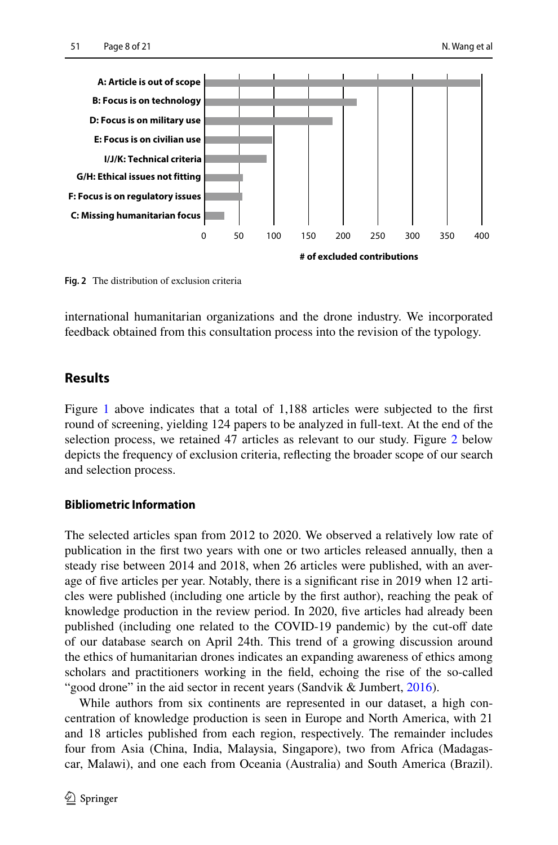

<span id="page-7-0"></span>**Fig. 2** The distribution of exclusion criteria

international humanitarian organizations and the drone industry. We incorporated feedback obtained from this consultation process into the revision of the typology.

### **Results**

Figure [1](#page-5-0) above indicates that a total of 1,188 articles were subjected to the first round of screening, yielding 124 papers to be analyzed in full-text. At the end of the selection process, we retained 47 articles as relevant to our study. Figure [2](#page-7-0) below depicts the frequency of exclusion criteria, refecting the broader scope of our search and selection process.

#### **Bibliometric Information**

The selected articles span from 2012 to 2020. We observed a relatively low rate of publication in the frst two years with one or two articles released annually, then a steady rise between 2014 and 2018, when 26 articles were published, with an average of fve articles per year. Notably, there is a signifcant rise in 2019 when 12 articles were published (including one article by the frst author), reaching the peak of knowledge production in the review period. In 2020, fve articles had already been published (including one related to the COVID-19 pandemic) by the cut-off date of our database search on April 24th. This trend of a growing discussion around the ethics of humanitarian drones indicates an expanding awareness of ethics among scholars and practitioners working in the feld, echoing the rise of the so-called "good drone" in the aid sector in recent years (Sandvik & Jumbert, [2016\)](#page-19-4).

While authors from six continents are represented in our dataset, a high concentration of knowledge production is seen in Europe and North America, with 21 and 18 articles published from each region, respectively. The remainder includes four from Asia (China, India, Malaysia, Singapore), two from Africa (Madagascar, Malawi), and one each from Oceania (Australia) and South America (Brazil).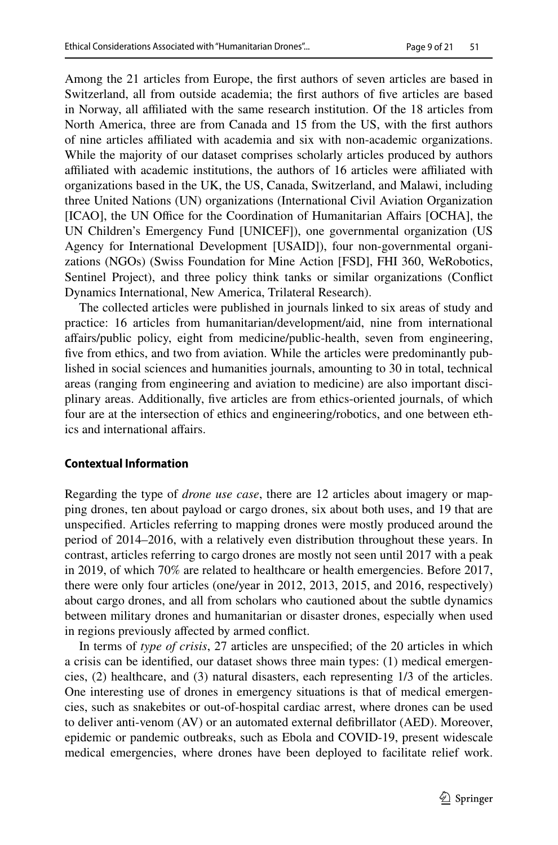Among the 21 articles from Europe, the frst authors of seven articles are based in Switzerland, all from outside academia; the frst authors of fve articles are based in Norway, all afliated with the same research institution. Of the 18 articles from North America, three are from Canada and 15 from the US, with the frst authors of nine articles afliated with academia and six with non-academic organizations. While the majority of our dataset comprises scholarly articles produced by authors afliated with academic institutions, the authors of 16 articles were afliated with organizations based in the UK, the US, Canada, Switzerland, and Malawi, including three United Nations (UN) organizations (International Civil Aviation Organization [ICAO], the UN Office for the Coordination of Humanitarian Affairs [OCHA], the UN Children's Emergency Fund [UNICEF]), one governmental organization (US Agency for International Development [USAID]), four non-governmental organizations (NGOs) (Swiss Foundation for Mine Action [FSD], FHI 360, WeRobotics, Sentinel Project), and three policy think tanks or similar organizations (Confict Dynamics International, New America, Trilateral Research).

The collected articles were published in journals linked to six areas of study and practice: 16 articles from humanitarian/development/aid, nine from international afairs/public policy, eight from medicine/public-health, seven from engineering, fve from ethics, and two from aviation. While the articles were predominantly published in social sciences and humanities journals, amounting to 30 in total, technical areas (ranging from engineering and aviation to medicine) are also important disciplinary areas. Additionally, fve articles are from ethics-oriented journals, of which four are at the intersection of ethics and engineering/robotics, and one between ethics and international affairs.

#### **Contextual Information**

Regarding the type of *drone use case*, there are 12 articles about imagery or mapping drones, ten about payload or cargo drones, six about both uses, and 19 that are unspecifed. Articles referring to mapping drones were mostly produced around the period of 2014–2016, with a relatively even distribution throughout these years. In contrast, articles referring to cargo drones are mostly not seen until 2017 with a peak in 2019, of which 70% are related to healthcare or health emergencies. Before 2017, there were only four articles (one/year in 2012, 2013, 2015, and 2016, respectively) about cargo drones, and all from scholars who cautioned about the subtle dynamics between military drones and humanitarian or disaster drones, especially when used in regions previously afected by armed confict.

In terms of *type of crisis*, 27 articles are unspecifed; of the 20 articles in which a crisis can be identifed, our dataset shows three main types: (1) medical emergencies, (2) healthcare, and (3) natural disasters, each representing 1/3 of the articles. One interesting use of drones in emergency situations is that of medical emergencies, such as snakebites or out-of-hospital cardiac arrest, where drones can be used to deliver anti-venom (AV) or an automated external defbrillator (AED). Moreover, epidemic or pandemic outbreaks, such as Ebola and COVID-19, present widescale medical emergencies, where drones have been deployed to facilitate relief work.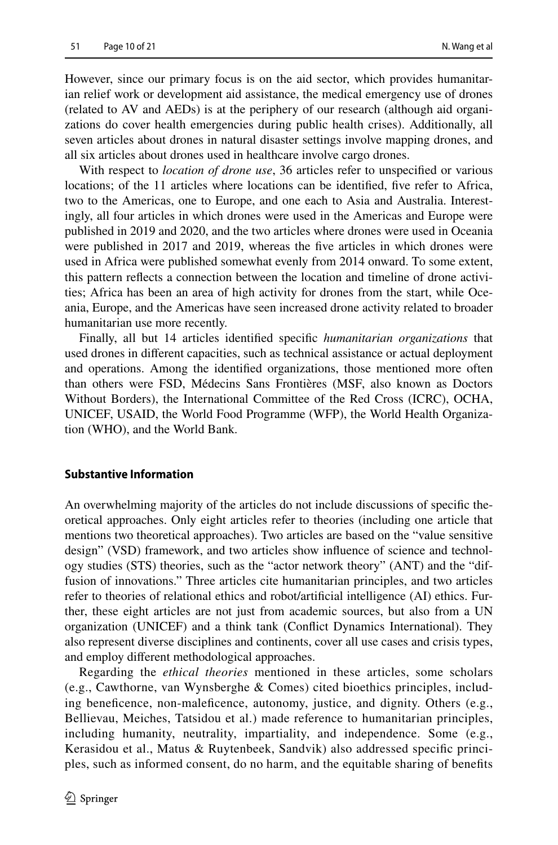However, since our primary focus is on the aid sector, which provides humanitarian relief work or development aid assistance, the medical emergency use of drones (related to AV and AEDs) is at the periphery of our research (although aid organizations do cover health emergencies during public health crises). Additionally, all seven articles about drones in natural disaster settings involve mapping drones, and all six articles about drones used in healthcare involve cargo drones.

With respect to *location of drone use*, 36 articles refer to unspecifed or various locations; of the 11 articles where locations can be identifed, fve refer to Africa, two to the Americas, one to Europe, and one each to Asia and Australia. Interestingly, all four articles in which drones were used in the Americas and Europe were published in 2019 and 2020, and the two articles where drones were used in Oceania were published in 2017 and 2019, whereas the fve articles in which drones were used in Africa were published somewhat evenly from 2014 onward. To some extent, this pattern refects a connection between the location and timeline of drone activities; Africa has been an area of high activity for drones from the start, while Oceania, Europe, and the Americas have seen increased drone activity related to broader humanitarian use more recently.

Finally, all but 14 articles identifed specifc *humanitarian organizations* that used drones in diferent capacities, such as technical assistance or actual deployment and operations. Among the identifed organizations, those mentioned more often than others were FSD, Médecins Sans Frontières (MSF, also known as Doctors Without Borders), the International Committee of the Red Cross (ICRC), OCHA, UNICEF, USAID, the World Food Programme (WFP), the World Health Organization (WHO), and the World Bank.

#### **Substantive Information**

An overwhelming majority of the articles do not include discussions of specifc theoretical approaches. Only eight articles refer to theories (including one article that mentions two theoretical approaches). Two articles are based on the "value sensitive design" (VSD) framework, and two articles show infuence of science and technology studies (STS) theories, such as the "actor network theory" (ANT) and the "diffusion of innovations." Three articles cite humanitarian principles, and two articles refer to theories of relational ethics and robot/artifcial intelligence (AI) ethics. Further, these eight articles are not just from academic sources, but also from a UN organization (UNICEF) and a think tank (Confict Dynamics International). They also represent diverse disciplines and continents, cover all use cases and crisis types, and employ diferent methodological approaches.

Regarding the *ethical theories* mentioned in these articles, some scholars (e.g., Cawthorne, van Wynsberghe & Comes) cited bioethics principles, including benefcence, non-malefcence, autonomy, justice, and dignity. Others (e.g., Bellievau, Meiches, Tatsidou et al.) made reference to humanitarian principles, including humanity, neutrality, impartiality, and independence. Some (e.g., Kerasidou et al., Matus & Ruytenbeek, Sandvik) also addressed specifc principles, such as informed consent, do no harm, and the equitable sharing of benefts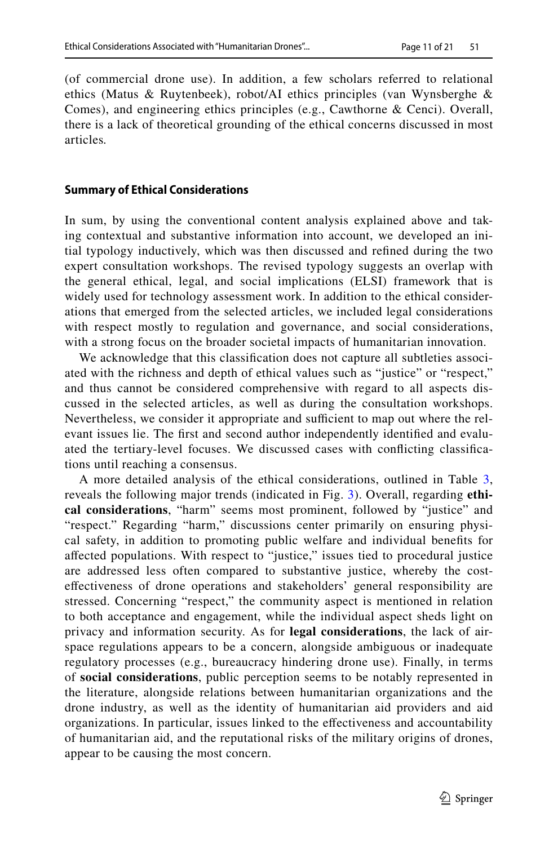(of commercial drone use). In addition, a few scholars referred to relational ethics (Matus & Ruytenbeek), robot/AI ethics principles (van Wynsberghe & Comes), and engineering ethics principles (e.g., Cawthorne & Cenci). Overall, there is a lack of theoretical grounding of the ethical concerns discussed in most articles*.*

#### **Summary of Ethical Considerations**

In sum, by using the conventional content analysis explained above and taking contextual and substantive information into account, we developed an initial typology inductively, which was then discussed and refned during the two expert consultation workshops. The revised typology suggests an overlap with the general ethical, legal, and social implications (ELSI) framework that is widely used for technology assessment work. In addition to the ethical considerations that emerged from the selected articles, we included legal considerations with respect mostly to regulation and governance, and social considerations, with a strong focus on the broader societal impacts of humanitarian innovation.

We acknowledge that this classifcation does not capture all subtleties associated with the richness and depth of ethical values such as "justice" or "respect," and thus cannot be considered comprehensive with regard to all aspects discussed in the selected articles, as well as during the consultation workshops. Nevertheless, we consider it appropriate and sufficient to map out where the relevant issues lie. The frst and second author independently identifed and evaluated the tertiary-level focuses. We discussed cases with conficting classifcations until reaching a consensus.

A more detailed analysis of the ethical considerations, outlined in Table [3,](#page-11-0) reveals the following major trends (indicated in Fig. [3](#page-12-0)). Overall, regarding **ethical considerations**, "harm" seems most prominent, followed by "justice" and "respect." Regarding "harm," discussions center primarily on ensuring physical safety, in addition to promoting public welfare and individual benefts for afected populations. With respect to "justice," issues tied to procedural justice are addressed less often compared to substantive justice, whereby the costefectiveness of drone operations and stakeholders' general responsibility are stressed. Concerning "respect," the community aspect is mentioned in relation to both acceptance and engagement, while the individual aspect sheds light on privacy and information security. As for **legal considerations**, the lack of airspace regulations appears to be a concern, alongside ambiguous or inadequate regulatory processes (e.g., bureaucracy hindering drone use). Finally, in terms of **social considerations**, public perception seems to be notably represented in the literature, alongside relations between humanitarian organizations and the drone industry, as well as the identity of humanitarian aid providers and aid organizations. In particular, issues linked to the efectiveness and accountability of humanitarian aid, and the reputational risks of the military origins of drones, appear to be causing the most concern.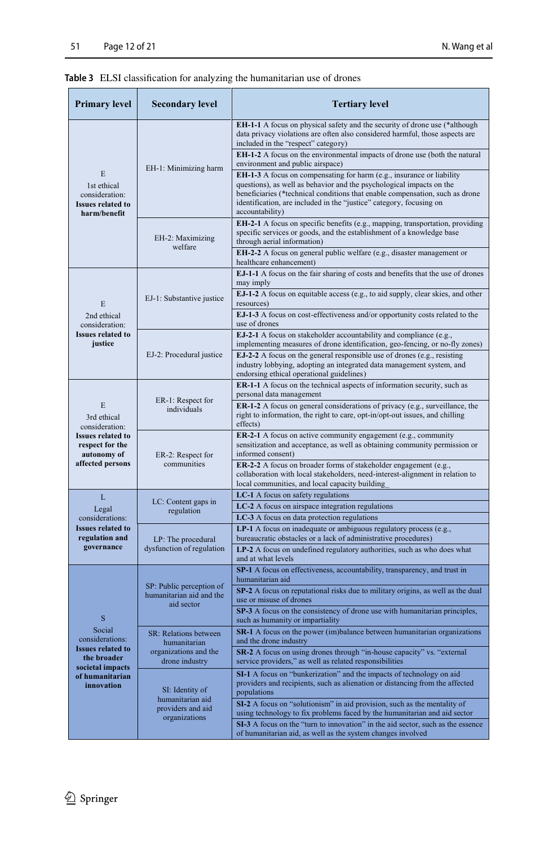| <b>Primary level</b>                                                                                                           | <b>Secondary level</b>                                                           | <b>Tertiary level</b>                                                                                                                                                                                                                                                                                                   |
|--------------------------------------------------------------------------------------------------------------------------------|----------------------------------------------------------------------------------|-------------------------------------------------------------------------------------------------------------------------------------------------------------------------------------------------------------------------------------------------------------------------------------------------------------------------|
| E<br>1st ethical<br>consideration:<br><b>Issues related to</b><br>harm/benefit                                                 | EH-1: Minimizing harm                                                            | EH-1-1 A focus on physical safety and the security of drone use (*although<br>data privacy violations are often also considered harmful, those aspects are<br>included in the "respect" category)                                                                                                                       |
|                                                                                                                                |                                                                                  | EH-1-2 A focus on the environmental impacts of drone use (both the natural<br>environment and public airspace)                                                                                                                                                                                                          |
|                                                                                                                                |                                                                                  | EH-1-3 A focus on compensating for harm (e.g., insurance or liability<br>questions), as well as behavior and the psychological impacts on the<br>beneficiaries (*technical conditions that enable compensation, such as drone<br>identification, are included in the "justice" category, focusing on<br>accountability) |
|                                                                                                                                | EH-2: Maximizing<br>welfare                                                      | EH-2-1 A focus on specific benefits (e.g., mapping, transportation, providing<br>specific services or goods, and the establishment of a knowledge base<br>through aerial information)                                                                                                                                   |
|                                                                                                                                |                                                                                  | EH-2-2 A focus on general public welfare (e.g., disaster management or<br>healthcare enhancement)                                                                                                                                                                                                                       |
|                                                                                                                                |                                                                                  | <b>EJ-1-1</b> A focus on the fair sharing of costs and benefits that the use of drones<br>may imply                                                                                                                                                                                                                     |
| E                                                                                                                              | EJ-1: Substantive justice                                                        | EJ-1-2 A focus on equitable access (e.g., to aid supply, clear skies, and other<br>resources)                                                                                                                                                                                                                           |
| 2nd ethical<br>consideration:                                                                                                  |                                                                                  | EJ-1-3 A focus on cost-effectiveness and/or opportunity costs related to the<br>use of drones                                                                                                                                                                                                                           |
| <b>Issues related to</b><br>justice                                                                                            | EJ-2: Procedural justice                                                         | EJ-2-1 A focus on stakeholder accountability and compliance (e.g.,<br>implementing measures of drone identification, geo-fencing, or no-fly zones)                                                                                                                                                                      |
|                                                                                                                                |                                                                                  | EJ-2-2 A focus on the general responsible use of drones (e.g., resisting<br>industry lobbying, adopting an integrated data management system, and<br>endorsing ethical operational guidelines)                                                                                                                          |
|                                                                                                                                | ER-1: Respect for<br>individuals                                                 | ER-1-1 A focus on the technical aspects of information security, such as<br>personal data management                                                                                                                                                                                                                    |
| E<br>3rd ethical<br>consideration:<br><b>Issues related to</b><br>respect for the<br>autonomy of<br>affected persons           |                                                                                  | <b>ER-1-2</b> A focus on general considerations of privacy (e.g., surveillance, the<br>right to information, the right to care, opt-in/opt-out issues, and chilling<br>effects)                                                                                                                                         |
|                                                                                                                                | ER-2: Respect for<br>communities                                                 | ER-2-1 A focus on active community engagement (e.g., community<br>sensitization and acceptance, as well as obtaining community permission or<br>informed consent)                                                                                                                                                       |
|                                                                                                                                |                                                                                  | <b>ER-2-2</b> A focus on broader forms of stakeholder engagement (e.g.,<br>collaboration with local stakeholders, need-interest-alignment in relation to<br>local communities, and local capacity building                                                                                                              |
| L                                                                                                                              | LC: Content gaps in<br>regulation                                                | LC-1 A focus on safety regulations                                                                                                                                                                                                                                                                                      |
| Legal                                                                                                                          |                                                                                  | LC-2 A focus on airspace integration regulations                                                                                                                                                                                                                                                                        |
| considerations:<br><b>Issues related to</b><br>regulation and<br>governance                                                    | LP: The procedural<br>dysfunction of regulation                                  | LC-3 A focus on data protection regulations<br>LP-1 A focus on inadequate or ambiguous regulatory process (e.g.,<br>bureaucratic obstacles or a lack of administrative procedures)                                                                                                                                      |
|                                                                                                                                |                                                                                  | LP-2 A focus on undefined regulatory authorities, such as who does what<br>and at what levels                                                                                                                                                                                                                           |
|                                                                                                                                | SP: Public perception of<br>humanitarian aid and the<br>aid sector               | SP-1 A focus on effectiveness, accountability, transparency, and trust in<br>humanitarian aid                                                                                                                                                                                                                           |
|                                                                                                                                |                                                                                  | SP-2 A focus on reputational risks due to military origins, as well as the dual<br>use or misuse of drones                                                                                                                                                                                                              |
| S<br>Social<br>considerations:<br><b>Issues related to</b><br>the broader<br>societal impacts<br>of humanitarian<br>innovation |                                                                                  | SP-3 A focus on the consistency of drone use with humanitarian principles,<br>such as humanity or impartiality                                                                                                                                                                                                          |
|                                                                                                                                | SR: Relations between<br>humanitarian<br>organizations and the<br>drone industry | SR-1 A focus on the power (im)balance between humanitarian organizations<br>and the drone industry                                                                                                                                                                                                                      |
|                                                                                                                                |                                                                                  | SR-2 A focus on using drones through "in-house capacity" vs. "external<br>service providers," as well as related responsibilities                                                                                                                                                                                       |
|                                                                                                                                | SI: Identity of<br>humanitarian aid<br>providers and aid<br>organizations        | SI-1 A focus on "bunkerization" and the impacts of technology on aid<br>providers and recipients, such as alienation or distancing from the affected<br>populations                                                                                                                                                     |
|                                                                                                                                |                                                                                  | SI-2 A focus on "solutionism" in aid provision, such as the mentality of<br>using technology to fix problems faced by the humanitarian and aid sector                                                                                                                                                                   |
|                                                                                                                                |                                                                                  | SI-3 A focus on the "turn to innovation" in the aid sector, such as the essence<br>of humanitarian aid, as well as the system changes involved                                                                                                                                                                          |

<span id="page-11-0"></span>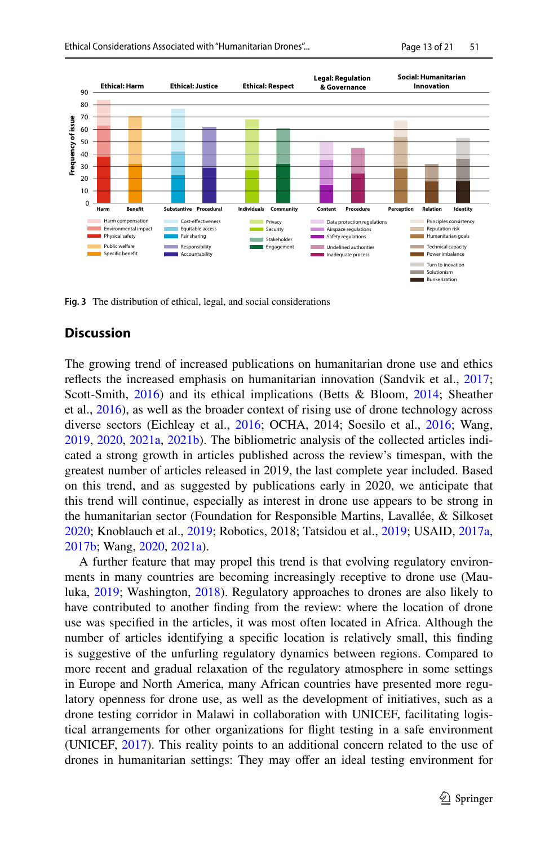

<span id="page-12-0"></span>**Fig. 3** The distribution of ethical, legal, and social considerations

### **Discussion**

The growing trend of increased publications on humanitarian drone use and ethics refects the increased emphasis on humanitarian innovation (Sandvik et al., [2017;](#page-19-5) Scott-Smith, [2016\)](#page-19-6) and its ethical implications (Betts & Bloom, [2014](#page-17-1); Sheather et al., [2016\)](#page-19-7), as well as the broader context of rising use of drone technology across diverse sectors (Eichleay et al., [2016](#page-18-8); OCHA, 2014; Soesilo et al., [2016;](#page-19-8) Wang, [2019](#page-20-4), [2020,](#page-20-1) [2021a,](#page-20-2) [2021b](#page-20-3)). The bibliometric analysis of the collected articles indicated a strong growth in articles published across the review's timespan, with the greatest number of articles released in 2019, the last complete year included. Based on this trend, and as suggested by publications early in 2020, we anticipate that this trend will continue, especially as interest in drone use appears to be strong in the humanitarian sector (Foundation for Responsible Martins, Lavallée, & Silkoset [2020](#page-19-9); Knoblauch et al., [2019](#page-18-9); Robotics, 2018; Tatsidou et al., [2019;](#page-19-10) USAID, [2017a,](#page-19-11) [2017b](#page-19-12); Wang, [2020,](#page-20-1) [2021a](#page-20-2)).

A further feature that may propel this trend is that evolving regulatory environments in many countries are becoming increasingly receptive to drone use (Mauluka, [2019](#page-19-13); Washington, [2018\)](#page-20-5). Regulatory approaches to drones are also likely to have contributed to another fnding from the review: where the location of drone use was specifed in the articles, it was most often located in Africa. Although the number of articles identifying a specifc location is relatively small, this fnding is suggestive of the unfurling regulatory dynamics between regions. Compared to more recent and gradual relaxation of the regulatory atmosphere in some settings in Europe and North America, many African countries have presented more regulatory openness for drone use, as well as the development of initiatives, such as a drone testing corridor in Malawi in collaboration with UNICEF, facilitating logistical arrangements for other organizations for fight testing in a safe environment (UNICEF, [2017](#page-19-14)). This reality points to an additional concern related to the use of drones in humanitarian settings: They may offer an ideal testing environment for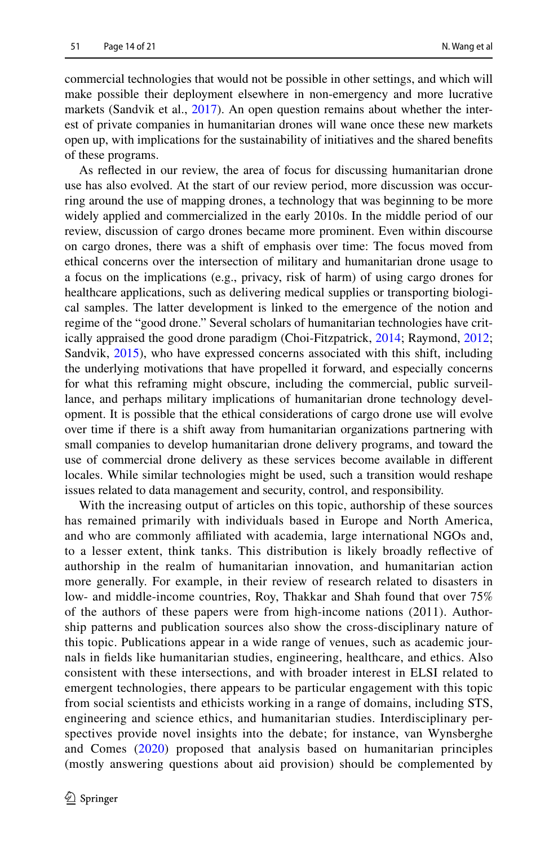commercial technologies that would not be possible in other settings, and which will make possible their deployment elsewhere in non-emergency and more lucrative markets (Sandvik et al., [2017](#page-19-5)). An open question remains about whether the interest of private companies in humanitarian drones will wane once these new markets open up, with implications for the sustainability of initiatives and the shared benefts of these programs.

As refected in our review, the area of focus for discussing humanitarian drone use has also evolved. At the start of our review period, more discussion was occurring around the use of mapping drones, a technology that was beginning to be more widely applied and commercialized in the early 2010s. In the middle period of our review, discussion of cargo drones became more prominent. Even within discourse on cargo drones, there was a shift of emphasis over time: The focus moved from ethical concerns over the intersection of military and humanitarian drone usage to a focus on the implications (e.g., privacy, risk of harm) of using cargo drones for healthcare applications, such as delivering medical supplies or transporting biological samples. The latter development is linked to the emergence of the notion and regime of the "good drone." Several scholars of humanitarian technologies have critically appraised the good drone paradigm (Choi-Fitzpatrick, [2014;](#page-18-10) Raymond, [2012;](#page-19-15) Sandvik, [2015\)](#page-19-3), who have expressed concerns associated with this shift, including the underlying motivations that have propelled it forward, and especially concerns for what this reframing might obscure, including the commercial, public surveillance, and perhaps military implications of humanitarian drone technology development. It is possible that the ethical considerations of cargo drone use will evolve over time if there is a shift away from humanitarian organizations partnering with small companies to develop humanitarian drone delivery programs, and toward the use of commercial drone delivery as these services become available in diferent locales. While similar technologies might be used, such a transition would reshape issues related to data management and security, control, and responsibility.

With the increasing output of articles on this topic, authorship of these sources has remained primarily with individuals based in Europe and North America, and who are commonly affiliated with academia, large international NGOs and, to a lesser extent, think tanks. This distribution is likely broadly refective of authorship in the realm of humanitarian innovation, and humanitarian action more generally. For example, in their review of research related to disasters in low- and middle-income countries, Roy, Thakkar and Shah found that over 75% of the authors of these papers were from high-income nations (2011). Authorship patterns and publication sources also show the cross-disciplinary nature of this topic. Publications appear in a wide range of venues, such as academic journals in felds like humanitarian studies, engineering, healthcare, and ethics. Also consistent with these intersections, and with broader interest in ELSI related to emergent technologies, there appears to be particular engagement with this topic from social scientists and ethicists working in a range of domains, including STS, engineering and science ethics, and humanitarian studies. Interdisciplinary perspectives provide novel insights into the debate; for instance, van Wynsberghe and Comes ([2020\)](#page-19-16) proposed that analysis based on humanitarian principles (mostly answering questions about aid provision) should be complemented by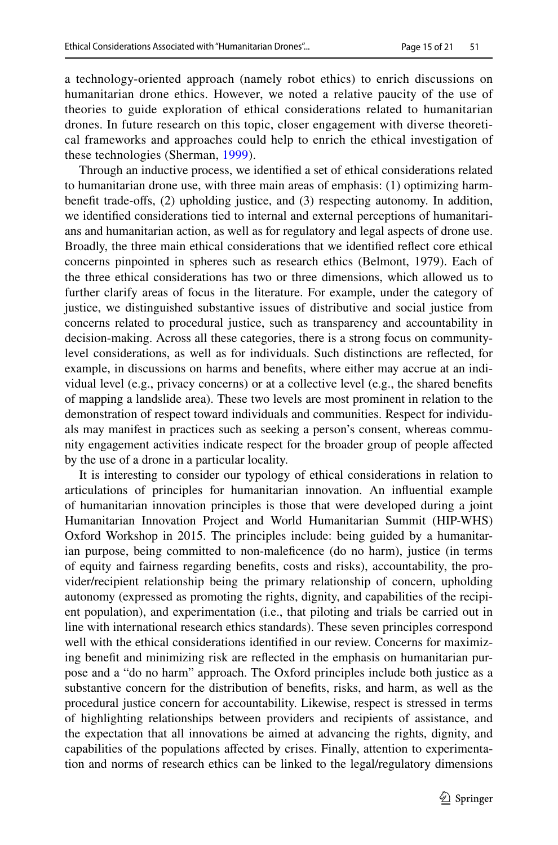a technology-oriented approach (namely robot ethics) to enrich discussions on humanitarian drone ethics. However, we noted a relative paucity of the use of theories to guide exploration of ethical considerations related to humanitarian drones. In future research on this topic, closer engagement with diverse theoretical frameworks and approaches could help to enrich the ethical investigation of these technologies (Sherman, [1999\)](#page-19-17).

Through an inductive process, we identifed a set of ethical considerations related to humanitarian drone use, with three main areas of emphasis: (1) optimizing harmbeneft trade-ofs, (2) upholding justice, and (3) respecting autonomy. In addition, we identifed considerations tied to internal and external perceptions of humanitarians and humanitarian action, as well as for regulatory and legal aspects of drone use. Broadly, the three main ethical considerations that we identifed refect core ethical concerns pinpointed in spheres such as research ethics (Belmont, 1979). Each of the three ethical considerations has two or three dimensions, which allowed us to further clarify areas of focus in the literature. For example, under the category of justice, we distinguished substantive issues of distributive and social justice from concerns related to procedural justice, such as transparency and accountability in decision-making. Across all these categories, there is a strong focus on communitylevel considerations, as well as for individuals. Such distinctions are refected, for example, in discussions on harms and benefts, where either may accrue at an individual level (e.g., privacy concerns) or at a collective level (e.g., the shared benefts of mapping a landslide area). These two levels are most prominent in relation to the demonstration of respect toward individuals and communities. Respect for individuals may manifest in practices such as seeking a person's consent, whereas community engagement activities indicate respect for the broader group of people afected by the use of a drone in a particular locality.

It is interesting to consider our typology of ethical considerations in relation to articulations of principles for humanitarian innovation. An infuential example of humanitarian innovation principles is those that were developed during a joint Humanitarian Innovation Project and World Humanitarian Summit (HIP-WHS) Oxford Workshop in 2015. The principles include: being guided by a humanitarian purpose, being committed to non-maleficence (do no harm), justice (in terms of equity and fairness regarding benefts, costs and risks), accountability, the provider/recipient relationship being the primary relationship of concern, upholding autonomy (expressed as promoting the rights, dignity, and capabilities of the recipient population), and experimentation (i.e., that piloting and trials be carried out in line with international research ethics standards). These seven principles correspond well with the ethical considerations identifed in our review. Concerns for maximizing beneft and minimizing risk are refected in the emphasis on humanitarian purpose and a "do no harm" approach. The Oxford principles include both justice as a substantive concern for the distribution of benefts, risks, and harm, as well as the procedural justice concern for accountability. Likewise, respect is stressed in terms of highlighting relationships between providers and recipients of assistance, and the expectation that all innovations be aimed at advancing the rights, dignity, and capabilities of the populations afected by crises. Finally, attention to experimentation and norms of research ethics can be linked to the legal/regulatory dimensions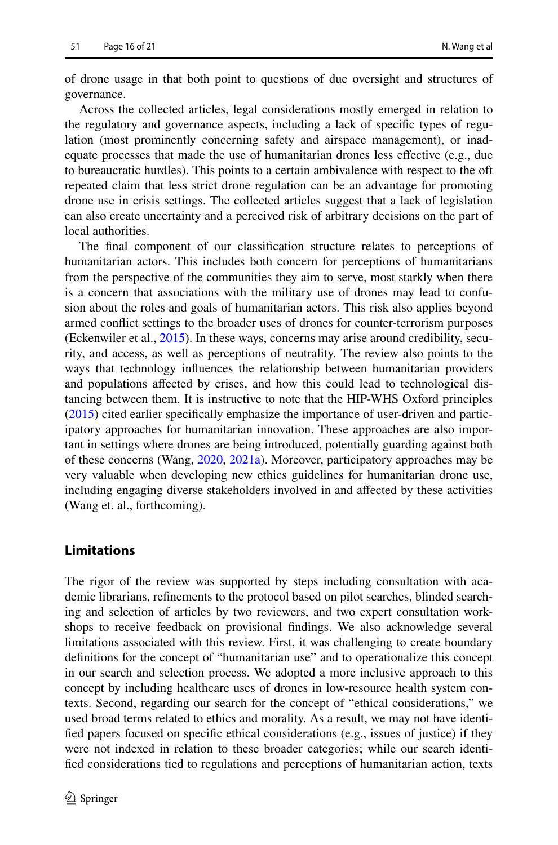of drone usage in that both point to questions of due oversight and structures of governance.

Across the collected articles, legal considerations mostly emerged in relation to the regulatory and governance aspects, including a lack of specifc types of regulation (most prominently concerning safety and airspace management), or inadequate processes that made the use of humanitarian drones less efective (e.g., due to bureaucratic hurdles). This points to a certain ambivalence with respect to the oft repeated claim that less strict drone regulation can be an advantage for promoting drone use in crisis settings. The collected articles suggest that a lack of legislation can also create uncertainty and a perceived risk of arbitrary decisions on the part of local authorities.

The fnal component of our classifcation structure relates to perceptions of humanitarian actors. This includes both concern for perceptions of humanitarians from the perspective of the communities they aim to serve, most starkly when there is a concern that associations with the military use of drones may lead to confusion about the roles and goals of humanitarian actors. This risk also applies beyond armed confict settings to the broader uses of drones for counter-terrorism purposes (Eckenwiler et al., [2015\)](#page-18-11). In these ways, concerns may arise around credibility, security, and access, as well as perceptions of neutrality. The review also points to the ways that technology infuences the relationship between humanitarian providers and populations afected by crises, and how this could lead to technological distancing between them. It is instructive to note that the HIP-WHS Oxford principles [\(2015](#page-18-12)) cited earlier specifcally emphasize the importance of user-driven and participatory approaches for humanitarian innovation. These approaches are also important in settings where drones are being introduced, potentially guarding against both of these concerns (Wang, [2020,](#page-20-1) [2021a](#page-20-2)). Moreover, participatory approaches may be very valuable when developing new ethics guidelines for humanitarian drone use, including engaging diverse stakeholders involved in and afected by these activities (Wang et. al., forthcoming).

#### **Limitations**

The rigor of the review was supported by steps including consultation with academic librarians, refnements to the protocol based on pilot searches, blinded searching and selection of articles by two reviewers, and two expert consultation workshops to receive feedback on provisional fndings. We also acknowledge several limitations associated with this review. First, it was challenging to create boundary defnitions for the concept of "humanitarian use" and to operationalize this concept in our search and selection process. We adopted a more inclusive approach to this concept by including healthcare uses of drones in low-resource health system contexts. Second, regarding our search for the concept of "ethical considerations," we used broad terms related to ethics and morality. As a result, we may not have identifed papers focused on specifc ethical considerations (e.g., issues of justice) if they were not indexed in relation to these broader categories; while our search identifed considerations tied to regulations and perceptions of humanitarian action, texts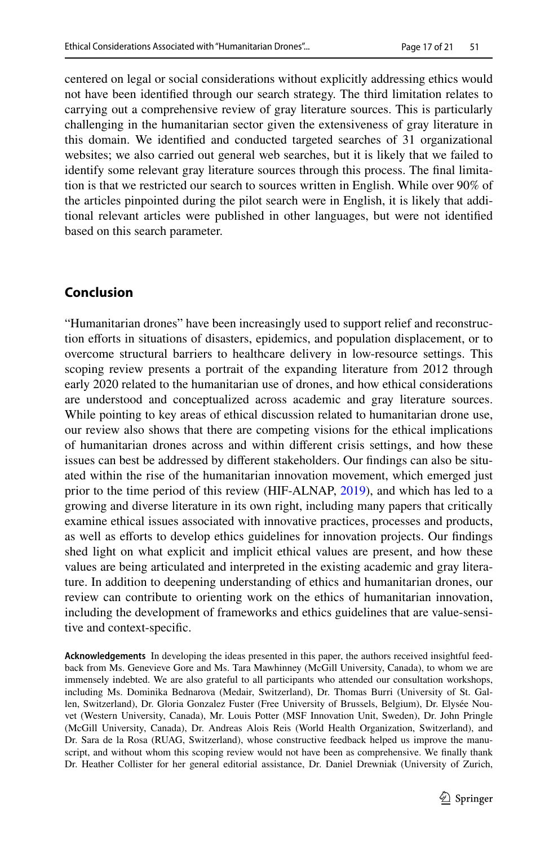centered on legal or social considerations without explicitly addressing ethics would not have been identifed through our search strategy. The third limitation relates to carrying out a comprehensive review of gray literature sources. This is particularly challenging in the humanitarian sector given the extensiveness of gray literature in this domain. We identifed and conducted targeted searches of 31 organizational websites; we also carried out general web searches, but it is likely that we failed to identify some relevant gray literature sources through this process. The fnal limitation is that we restricted our search to sources written in English. While over 90% of the articles pinpointed during the pilot search were in English, it is likely that additional relevant articles were published in other languages, but were not identifed based on this search parameter.

## **Conclusion**

"Humanitarian drones" have been increasingly used to support relief and reconstruction eforts in situations of disasters, epidemics, and population displacement, or to overcome structural barriers to healthcare delivery in low-resource settings. This scoping review presents a portrait of the expanding literature from 2012 through early 2020 related to the humanitarian use of drones, and how ethical considerations are understood and conceptualized across academic and gray literature sources. While pointing to key areas of ethical discussion related to humanitarian drone use, our review also shows that there are competing visions for the ethical implications of humanitarian drones across and within diferent crisis settings, and how these issues can best be addressed by diferent stakeholders. Our fndings can also be situated within the rise of the humanitarian innovation movement, which emerged just prior to the time period of this review (HIF-ALNAP, [2019](#page-18-13)), and which has led to a growing and diverse literature in its own right, including many papers that critically examine ethical issues associated with innovative practices, processes and products, as well as eforts to develop ethics guidelines for innovation projects. Our fndings shed light on what explicit and implicit ethical values are present, and how these values are being articulated and interpreted in the existing academic and gray literature. In addition to deepening understanding of ethics and humanitarian drones, our review can contribute to orienting work on the ethics of humanitarian innovation, including the development of frameworks and ethics guidelines that are value-sensitive and context-specifc.

**Acknowledgements** In developing the ideas presented in this paper, the authors received insightful feedback from Ms. Genevieve Gore and Ms. Tara Mawhinney (McGill University, Canada), to whom we are immensely indebted. We are also grateful to all participants who attended our consultation workshops, including Ms. Dominika Bednarova (Medair, Switzerland), Dr. Thomas Burri (University of St. Gallen, Switzerland), Dr. Gloria Gonzalez Fuster (Free University of Brussels, Belgium), Dr. Elysée Nouvet (Western University, Canada), Mr. Louis Potter (MSF Innovation Unit, Sweden), Dr. John Pringle (McGill University, Canada), Dr. Andreas Alois Reis (World Health Organization, Switzerland), and Dr. Sara de la Rosa (RUAG, Switzerland), whose constructive feedback helped us improve the manuscript, and without whom this scoping review would not have been as comprehensive. We finally thank Dr. Heather Collister for her general editorial assistance, Dr. Daniel Drewniak (University of Zurich,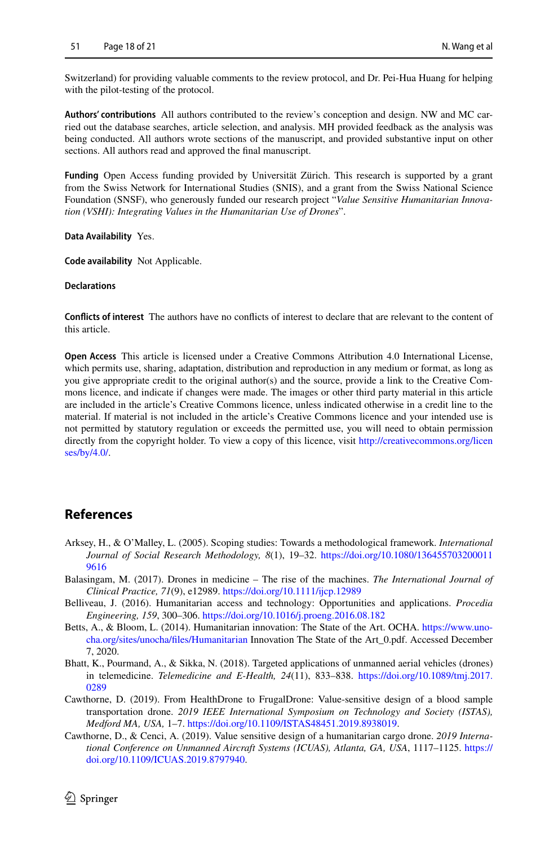Switzerland) for providing valuable comments to the review protocol, and Dr. Pei-Hua Huang for helping with the pilot-testing of the protocol.

**Authors' contributions** All authors contributed to the review's conception and design. NW and MC carried out the database searches, article selection, and analysis. MH provided feedback as the analysis was being conducted. All authors wrote sections of the manuscript, and provided substantive input on other sections. All authors read and approved the fnal manuscript.

**Funding** Open Access funding provided by Universität Zürich. This research is supported by a grant from the Swiss Network for International Studies (SNIS), and a grant from the Swiss National Science Foundation (SNSF), who generously funded our research project "*Value Sensitive Humanitarian Innovation (VSHI): Integrating Values in the Humanitarian Use of Drones*".

**Data Availability** Yes.

**Code availability** Not Applicable.

#### **Declarations**

**Conficts of interest** The authors have no conficts of interest to declare that are relevant to the content of this article.

**Open Access** This article is licensed under a Creative Commons Attribution 4.0 International License, which permits use, sharing, adaptation, distribution and reproduction in any medium or format, as long as you give appropriate credit to the original author(s) and the source, provide a link to the Creative Commons licence, and indicate if changes were made. The images or other third party material in this article are included in the article's Creative Commons licence, unless indicated otherwise in a credit line to the material. If material is not included in the article's Creative Commons licence and your intended use is not permitted by statutory regulation or exceeds the permitted use, you will need to obtain permission directly from the copyright holder. To view a copy of this licence, visit [http://creativecommons.org/licen](http://creativecommons.org/licenses/by/4.0/) [ses/by/4.0/](http://creativecommons.org/licenses/by/4.0/).

### **References**

- <span id="page-17-0"></span>Arksey, H., & O'Malley, L. (2005). Scoping studies: Towards a methodological framework. *International Journal of Social Research Methodology, 8*(1), 19–32. [https://doi.org/10.1080/136455703200011](https://doi.org/10.1080/1364557032000119616) [9616](https://doi.org/10.1080/1364557032000119616)
- Balasingam, M. (2017). Drones in medicine The rise of the machines. *The International Journal of Clinical Practice, 71*(9), e12989. <https://doi.org/10.1111/ijcp.12989>
- Belliveau, J. (2016). Humanitarian access and technology: Opportunities and applications. *Procedia Engineering, 159*, 300–306. <https://doi.org/10.1016/j.proeng.2016.08.182>
- <span id="page-17-1"></span>Betts, A., & Bloom, L. (2014). Humanitarian innovation: The State of the Art. OCHA. [https://www.uno](https://www.unocha.org/sites/unocha/files/Humanitarian)[cha.org/sites/unocha/fles/Humanitarian](https://www.unocha.org/sites/unocha/files/Humanitarian) Innovation The State of the Art\_0.pdf. Accessed December 7, 2020.
- Bhatt, K., Pourmand, A., & Sikka, N. (2018). Targeted applications of unmanned aerial vehicles (drones) in telemedicine. *Telemedicine and E-Health, 24*(11), 833–838. [https://doi.org/10.1089/tmj.2017.](https://doi.org/10.1089/tmj.2017.0289) [0289](https://doi.org/10.1089/tmj.2017.0289)
- Cawthorne, D. (2019). From HealthDrone to FrugalDrone: Value-sensitive design of a blood sample transportation drone. *2019 IEEE International Symposium on Technology and Society (ISTAS), Medford MA, USA,* 1–7. [https://doi.org/10.1109/ISTAS48451.2019.8938019.](https://doi.org/10.1109/ISTAS48451.2019.8938019)
- Cawthorne, D., & Cenci, A. (2019). Value sensitive design of a humanitarian cargo drone. *2019 International Conference on Unmanned Aircraft Systems (ICUAS), Atlanta, GA, USA*, 1117–1125. [https://](https://doi.org/10.1109/ICUAS.2019.8797940) [doi.org/10.1109/ICUAS.2019.8797940.](https://doi.org/10.1109/ICUAS.2019.8797940)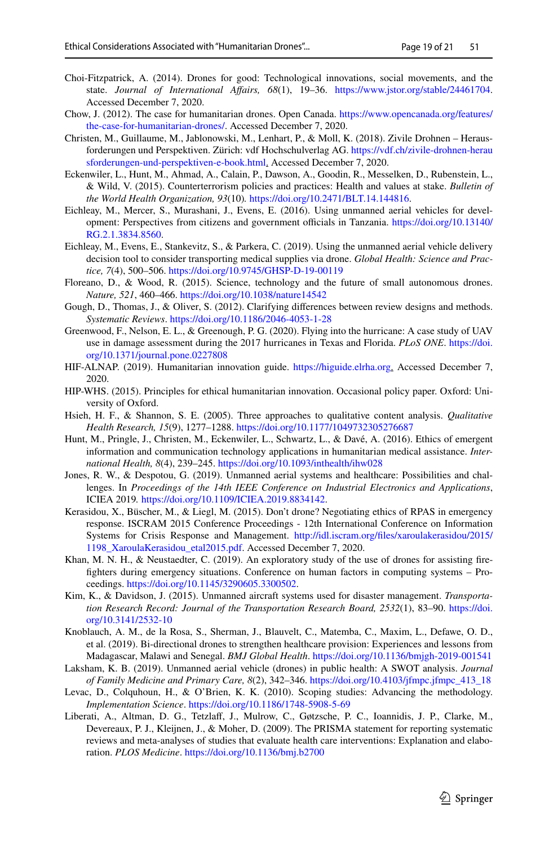- <span id="page-18-10"></span>Choi-Fitzpatrick, A. (2014). Drones for good: Technological innovations, social movements, and the state. *Journal of International Afairs, 68*(1), 19–36. <https://www.jstor.org/stable/24461704>. Accessed December 7, 2020.
- Chow, J. (2012). The case for humanitarian drones. Open Canada. [https://www.opencanada.org/features/](https://www.opencanada.org/features/the-case-for-humanitarian-drones/) [the-case-for-humanitarian-drones/](https://www.opencanada.org/features/the-case-for-humanitarian-drones/). Accessed December 7, 2020.
- <span id="page-18-3"></span>Christen, M., Guillaume, M., Jablonowski, M., Lenhart, P., & Moll, K. (2018). Zivile Drohnen – Herausforderungen und Perspektiven. Zürich: vdf Hochschulverlag AG. [https://vdf.ch/zivile-drohnen-herau](https://vdf.ch/zivile-drohnen-herausforderungen-und-perspektiven-e-book.html) [sforderungen-und-perspektiven-e-book.html.](https://vdf.ch/zivile-drohnen-herausforderungen-und-perspektiven-e-book.html) Accessed December 7, 2020.
- <span id="page-18-11"></span>Eckenwiler, L., Hunt, M., Ahmad, A., Calain, P., Dawson, A., Goodin, R., Messelken, D., Rubenstein, L., & Wild, V. (2015). Counterterrorism policies and practices: Health and values at stake. *Bulletin of the World Health Organization, 93*(10)*.* <https://doi.org/10.2471/BLT.14.144816>.
- <span id="page-18-8"></span>Eichleay, M., Mercer, S., Murashani, J., Evens, E. (2016). Using unmanned aerial vehicles for development: Perspectives from citizens and government officials in Tanzania. [https://doi.org/10.13140/](https://doi.org/10.13140/RG.2.1.3834.8560) [RG.2.1.3834.8560.](https://doi.org/10.13140/RG.2.1.3834.8560)
- Eichleay, M., Evens, E., Stankevitz, S., & Parkera, C. (2019). Using the unmanned aerial vehicle delivery decision tool to consider transporting medical supplies via drone. *Global Health: Science and Practice, 7*(4), 500–506. <https://doi.org/10.9745/GHSP-D-19-00119>
- <span id="page-18-2"></span>Floreano, D., & Wood, R. (2015). Science, technology and the future of small autonomous drones. *Nature, 521*, 460–466. <https://doi.org/10.1038/nature14542>
- <span id="page-18-4"></span>Gough, D., Thomas, J., & Oliver, S. (2012). Clarifying diferences between review designs and methods. *Systematic Reviews*. <https://doi.org/10.1186/2046-4053-1-28>
- <span id="page-18-5"></span>Greenwood, F., Nelson, E. L., & Greenough, P. G. (2020). Flying into the hurricane: A case study of UAV use in damage assessment during the 2017 hurricanes in Texas and Florida. *PLoS ONE*. [https://doi.](https://doi.org/10.1371/journal.pone.0227808) [org/10.1371/journal.pone.0227808](https://doi.org/10.1371/journal.pone.0227808)
- <span id="page-18-13"></span>HIF-ALNAP. (2019). Humanitarian innovation guide. [https://higuide.elrha.org.](https://higuide.elrha.org) Accessed December 7, 2020.
- <span id="page-18-12"></span>HIP-WHS. (2015). Principles for ethical humanitarian innovation. Occasional policy paper. Oxford: University of Oxford.
- <span id="page-18-7"></span>Hsieh, H. F., & Shannon, S. E. (2005). Three approaches to qualitative content analysis. *Qualitative Health Research, 15*(9), 1277–1288.<https://doi.org/10.1177/1049732305276687>
- <span id="page-18-0"></span>Hunt, M., Pringle, J., Christen, M., Eckenwiler, L., Schwartz, L., & Davé, A. (2016). Ethics of emergent information and communication technology applications in humanitarian medical assistance. *International Health, 8*(4), 239–245. <https://doi.org/10.1093/inthealth/ihw028>
- Jones, R. W., & Despotou, G. (2019). Unmanned aerial systems and healthcare: Possibilities and challenges. In *Proceedings of the 14th IEEE Conference on Industrial Electronics and Applications*, ICIEA 2019*.* <https://doi.org/10.1109/ICIEA.2019.8834142>.
- Kerasidou, X., Büscher, M., & Liegl, M. (2015). Don't drone? Negotiating ethics of RPAS in emergency response. ISCRAM 2015 Conference Proceedings - 12th International Conference on Information Systems for Crisis Response and Management. [http://idl.iscram.org/fles/xaroulakerasidou/2015/](http://idl.iscram.org/files/xaroulakerasidou/2015/1198_XaroulaKerasidou_etal2015.pdf) [1198\\_XaroulaKerasidou\\_etal2015.pdf.](http://idl.iscram.org/files/xaroulakerasidou/2015/1198_XaroulaKerasidou_etal2015.pdf) Accessed December 7, 2020.
- Khan, M. N. H., & Neustaedter, C. (2019). An exploratory study of the use of drones for assisting frefghters during emergency situations. Conference on human factors in computing systems – Proceedings.<https://doi.org/10.1145/3290605.3300502>.
- Kim, K., & Davidson, J. (2015). Unmanned aircraft systems used for disaster management. *Transportation Research Record: Journal of the Transportation Research Board, 2532*(1), 83–90. [https://doi.](https://doi.org/10.3141/2532-10) [org/10.3141/2532-10](https://doi.org/10.3141/2532-10)
- <span id="page-18-9"></span>Knoblauch, A. M., de la Rosa, S., Sherman, J., Blauvelt, C., Matemba, C., Maxim, L., Defawe, O. D., et al. (2019). Bi-directional drones to strengthen healthcare provision: Experiences and lessons from Madagascar, Malawi and Senegal. *BMJ Global Health*.<https://doi.org/10.1136/bmjgh-2019-001541>
- Laksham, K. B. (2019). Unmanned aerial vehicle (drones) in public health: A SWOT analysis. *Journal of Family Medicine and Primary Care, 8*(2), 342–346. [https://doi.org/10.4103/jfmpc.jfmpc\\_413\\_18](https://doi.org/10.4103/jfmpc.jfmpc_413_18)
- <span id="page-18-1"></span>Levac, D., Colquhoun, H., & O'Brien, K. K. (2010). Scoping studies: Advancing the methodology. *Implementation Science*. <https://doi.org/10.1186/1748-5908-5-69>
- <span id="page-18-6"></span>Liberati, A., Altman, D. G., Tetzlaf, J., Mulrow, C., Gøtzsche, P. C., Ioannidis, J. P., Clarke, M., Devereaux, P. J., Kleijnen, J., & Moher, D. (2009). The PRISMA statement for reporting systematic reviews and meta-analyses of studies that evaluate health care interventions: Explanation and elaboration. *PLOS Medicine*. <https://doi.org/10.1136/bmj.b2700>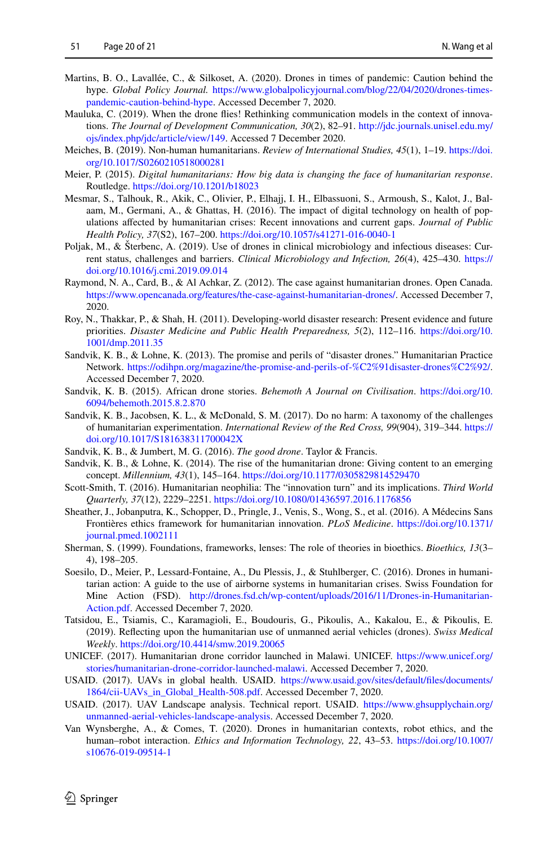- <span id="page-19-9"></span>Martins, B. O., Lavallée, C., & Silkoset, A. (2020). Drones in times of pandemic: Caution behind the hype. *Global Policy Journal.* [https://www.globalpolicyjournal.com/blog/22/04/2020/drones-times](https://www.globalpolicyjournal.com/blog/22/04/2020/drones-times-pandemic-caution-behind-hype)[pandemic-caution-behind-hype.](https://www.globalpolicyjournal.com/blog/22/04/2020/drones-times-pandemic-caution-behind-hype) Accessed December 7, 2020.
- <span id="page-19-13"></span>Mauluka, C. (2019). When the drone fies! Rethinking communication models in the context of innovations. *The Journal of Development Communication, 30*(2), 82–91. [http://jdc.journals.unisel.edu.my/](http://jdc.journals.unisel.edu.my/ojs/index.php/jdc/article/view/149) [ojs/index.php/jdc/article/view/149](http://jdc.journals.unisel.edu.my/ojs/index.php/jdc/article/view/149). Accessed 7 December 2020.
- Meiches, B. (2019). Non-human humanitarians. *Review of International Studies, 45*(1), 1–19. [https://doi.](https://doi.org/10.1017/S0260210518000281) [org/10.1017/S0260210518000281](https://doi.org/10.1017/S0260210518000281)
- Meier, P. (2015). *Digital humanitarians: How big data is changing the face of humanitarian response*. Routledge. <https://doi.org/10.1201/b18023>
- <span id="page-19-0"></span>Mesmar, S., Talhouk, R., Akik, C., Olivier, P., Elhajj, I. H., Elbassuoni, S., Armoush, S., Kalot, J., Balaam, M., Germani, A., & Ghattas, H. (2016). The impact of digital technology on health of populations afected by humanitarian crises: Recent innovations and current gaps. *Journal of Public Health Policy, 37*(S2), 167–200.<https://doi.org/10.1057/s41271-016-0040-1>
- Poljak, M., & Šterbenc, A. (2019). Use of drones in clinical microbiology and infectious diseases: Current status, challenges and barriers. *Clinical Microbiology and Infection, 26*(4), 425–430. [https://](https://doi.org/10.1016/j.cmi.2019.09.014) [doi.org/10.1016/j.cmi.2019.09.014](https://doi.org/10.1016/j.cmi.2019.09.014)
- <span id="page-19-15"></span>Raymond, N. A., Card, B., & Al Achkar, Z. (2012). The case against humanitarian drones. Open Canada. [https://www.opencanada.org/features/the-case-against-humanitarian-drones/.](https://www.opencanada.org/features/the-case-against-humanitarian-drones/) Accessed December 7, 2020.
- Roy, N., Thakkar, P., & Shah, H. (2011). Developing-world disaster research: Present evidence and future priorities. *Disaster Medicine and Public Health Preparedness, 5*(2), 112–116. [https://doi.org/10.](https://doi.org/10.1001/dmp.2011.35) [1001/dmp.2011.35](https://doi.org/10.1001/dmp.2011.35)
- <span id="page-19-1"></span>Sandvik, K. B., & Lohne, K. (2013). The promise and perils of "disaster drones." Humanitarian Practice Network. <https://odihpn.org/magazine/the-promise-and-perils-of-%C2%91disaster-drones%C2%92/>. Accessed December 7, 2020.
- <span id="page-19-3"></span>Sandvik, K. B. (2015). African drone stories. *Behemoth A Journal on Civilisation*. [https://doi.org/10.](https://doi.org/10.6094/behemoth.2015.8.2.870) [6094/behemoth.2015.8.2.870](https://doi.org/10.6094/behemoth.2015.8.2.870)
- <span id="page-19-5"></span>Sandvik, K. B., Jacobsen, K. L., & McDonald, S. M. (2017). Do no harm: A taxonomy of the challenges of humanitarian experimentation. *International Review of the Red Cross, 99*(904), 319–344. [https://](https://doi.org/10.1017/S181638311700042X) [doi.org/10.1017/S181638311700042X](https://doi.org/10.1017/S181638311700042X)
- <span id="page-19-4"></span>Sandvik, K. B., & Jumbert, M. G. (2016). *The good drone*. Taylor & Francis.
- <span id="page-19-2"></span>Sandvik, K. B., & Lohne, K. (2014). The rise of the humanitarian drone: Giving content to an emerging concept. *Millennium, 43*(1), 145–164.<https://doi.org/10.1177/0305829814529470>
- <span id="page-19-6"></span>Scott-Smith, T. (2016). Humanitarian neophilia: The "innovation turn" and its implications. *Third World Quarterly, 37*(12), 2229–2251. <https://doi.org/10.1080/01436597.2016.1176856>
- <span id="page-19-7"></span>Sheather, J., Jobanputra, K., Schopper, D., Pringle, J., Venis, S., Wong, S., et al. (2016). A Médecins Sans Frontières ethics framework for humanitarian innovation. *PLoS Medicine*. [https://doi.org/10.1371/](https://doi.org/10.1371/journal.pmed.1002111) [journal.pmed.1002111](https://doi.org/10.1371/journal.pmed.1002111)
- <span id="page-19-17"></span>Sherman, S. (1999). Foundations, frameworks, lenses: The role of theories in bioethics. *Bioethics, 13*(3– 4), 198–205.
- <span id="page-19-8"></span>Soesilo, D., Meier, P., Lessard-Fontaine, A., Du Plessis, J., & Stuhlberger, C. (2016). Drones in humanitarian action: A guide to the use of airborne systems in humanitarian crises. Swiss Foundation for Mine Action (FSD). [http://drones.fsd.ch/wp-content/uploads/2016/11/Drones-in-Humanitarian-](http://drones.fsd.ch/wp-content/uploads/2016/11/Drones-in-Humanitarian-Action.pdf)[Action.pdf](http://drones.fsd.ch/wp-content/uploads/2016/11/Drones-in-Humanitarian-Action.pdf). Accessed December 7, 2020.
- <span id="page-19-10"></span>Tatsidou, E., Tsiamis, C., Karamagioli, E., Boudouris, G., Pikoulis, A., Kakalou, E., & Pikoulis, E. (2019). Refecting upon the humanitarian use of unmanned aerial vehicles (drones). *Swiss Medical Weekly*. <https://doi.org/10.4414/smw.2019.20065>
- <span id="page-19-14"></span>UNICEF. (2017). Humanitarian drone corridor launched in Malawi. UNICEF. [https://www.unicef.org/](https://www.unicef.org/stories/humanitarian-drone-corridor-launched-malawi) [stories/humanitarian-drone-corridor-launched-malawi](https://www.unicef.org/stories/humanitarian-drone-corridor-launched-malawi). Accessed December 7, 2020.
- <span id="page-19-11"></span>USAID. (2017). UAVs in global health. USAID. [https://www.usaid.gov/sites/default/fles/documents/](https://www.usaid.gov/sites/default/files/documents/1864/cii-UAVs_in_Global_Health-508.pdf) [1864/cii-UAVs\\_in\\_Global\\_Health-508.pdf](https://www.usaid.gov/sites/default/files/documents/1864/cii-UAVs_in_Global_Health-508.pdf). Accessed December 7, 2020.
- <span id="page-19-12"></span>USAID. (2017). UAV Landscape analysis. Technical report. USAID. [https://www.ghsupplychain.org/](https://www.ghsupplychain.org/unmanned-aerial-vehicles-landscape-analysis) [unmanned-aerial-vehicles-landscape-analysis](https://www.ghsupplychain.org/unmanned-aerial-vehicles-landscape-analysis). Accessed December 7, 2020.
- <span id="page-19-16"></span>Van Wynsberghe, A., & Comes, T. (2020). Drones in humanitarian contexts, robot ethics, and the human–robot interaction. *Ethics and Information Technology, 22*, 43–53. [https://doi.org/10.1007/](https://doi.org/10.1007/s10676-019-09514-1) [s10676-019-09514-1](https://doi.org/10.1007/s10676-019-09514-1)